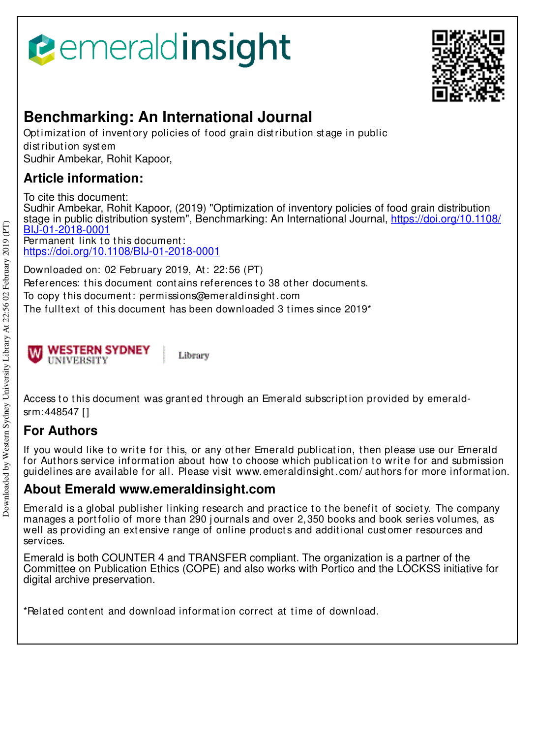# *<u><b>eemeraldinsight</u>*



## **Benchmarking: An International Journal**

Optimization of inventory policies of food grain distribution stage in public dist ribut ion syst em Sudhir Ambekar, Rohit Kapoor,

## **Article information:**

To cite this document: Sudhir Ambekar, Rohit Kapoor, (2019) "Optimization of inventory policies of food grain distribution stage in public distribution system", Benchmarking: An International Journal, https://doi.org/10.1108/ BIJ-01-2018-0001 Permanent link to this document: https://doi.org/10.1108/BIJ-01-2018-0001

Downloaded on: 02 February 2019, At : 22:56 (PT) References: this document contains references to 38 other documents. To copy t his document : permissions@emeraldinsight .com The fulltext of this document has been downloaded 3 times since 2019<sup>\*</sup>

W WESTERN SYDNEY **UNIVERSITY** 

Library

Access to this document was granted through an Emerald subscription provided by emeraldsrm:448547 []

## **For Authors**

If you would like to write for this, or any other Emerald publication, then please use our Emerald for Authors service information about how to choose which publication to write for and submission guidelines are available for all. Please visit www.emeraldinsight .com/ aut hors for more informat ion.

### **About Emerald www.emeraldinsight.com**

Emerald is a global publisher linking research and practice to the benefit of society. The company manages a portfolio of more than 290 journals and over 2,350 books and book series volumes, as well as providing an extensive range of online products and additional customer resources and services.

Emerald is both COUNTER 4 and TRANSFER compliant. The organization is a partner of the Committee on Publication Ethics (COPE) and also works with Portico and the LOCKSS initiative for digital archive preservation.

\*Related content and download information correct at time of download.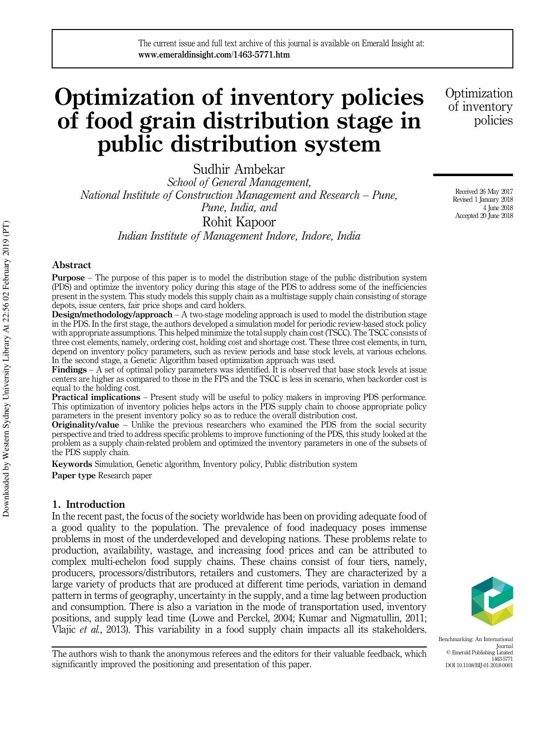## Optimization of inventory policies of food grain distribution stage in public distribution system

Sudhir Ambekar *School of General Management, National Institute of Construction Management and Research* – *Pune, Pune, India, and* Rohit Kapoor

*Indian Institute of Management Indore, Indore, India*

#### Abstract

Purpose – The purpose of this paper is to model the distribution stage of the public distribution system (PDS) and optimize the inventory policy during this stage of the PDS to address some of the inefficiencies present in the system. This study models this supply chain as a multistage supply chain consisting of storage depots, issue centers, fair price shops and card holders.

**Design/methodology/approach** – A two-stage modeling approach is used to model the distribution stage in the PDS. In the first stage, the authors developed a simulation model for periodic review-based stock policy with appropriate assumptions. This helped minimize the total supply chain cost (TSCC). The TSCC consists of three cost elements, namely, ordering cost, holding cost and shortage cost. These three cost elements, in turn, depend on inventory policy parameters, such as review periods and base stock levels, at various echelons. In the second stage, a Genetic Algorithm based optimization approach was used.

Findings – A set of optimal policy parameters was identified. It is observed that base stock levels at issue centers are higher as compared to those in the FPS and the TSCC is less in scenario, when backorder cost is equal to the holding cost.

Practical implications – Present study will be useful to policy makers in improving PDS performance. This optimization of inventory policies helps actors in the PDS supply chain to choose appropriate policy parameters in the present inventory policy so as to reduce the overall distribution cost.

**Originality/value** – Unlike the previous researchers who examined the PDS from the social security perspective and tried to address specific problems to improve functioning of the PDS, this study looked at the problem as a supply chain-related problem and optimized the inventory parameters in one of the subsets of the PDS supply chain.

Keywords Simulation, Genetic algorithm, Inventory policy, Public distribution system

Paper type Research paper

#### 1. Introduction

In the recent past, the focus of the society worldwide has been on providing adequate food of a good quality to the population. The prevalence of food inadequacy poses immense problems in most of the underdeveloped and developing nations. These problems relate to production, availability, wastage, and increasing food prices and can be attributed to complex multi-echelon food supply chains. These chains consist of four tiers, namely, producers, processors/distributors, retailers and customers. They are characterized by a large variety of products that are produced at different time periods, variation in demand pattern in terms of geography, uncertainty in the supply, and a time lag between production and consumption. There is also a variation in the mode of transportation used, inventory positions, and supply lead time (Lowe and Perckel, 2004; Kumar and Nigmatullin, 2011; Vlajic *et al.*, 2013). This variability in a food supply chain impacts all its stakeholders.



The authors wish to thank the anonymous referees and the editors for their valuable feedback, which significantly improved the positioning and presentation of this paper.

Received 26 May 2017 Revised 1 January 2018 4 June 2018 Accepted 20 June 2018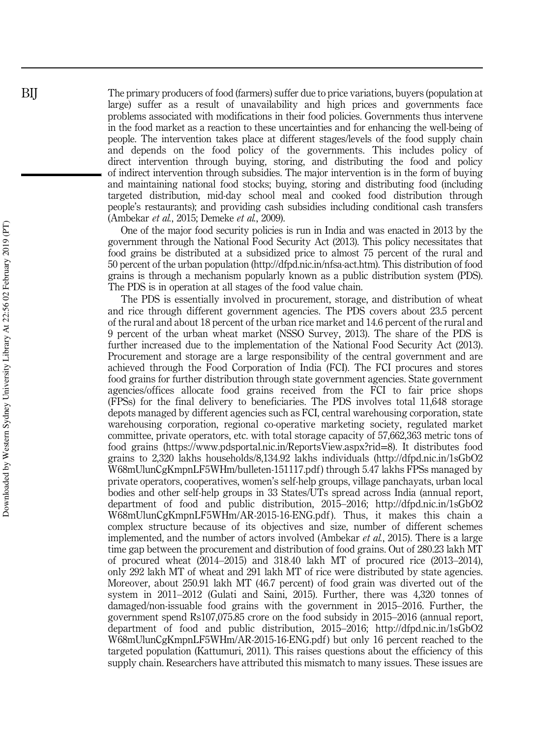The primary producers of food (farmers) suffer due to price variations, buyers (population at large) suffer as a result of unavailability and high prices and governments face problems associated with modifications in their food policies. Governments thus intervene in the food market as a reaction to these uncertainties and for enhancing the well-being of people. The intervention takes place at different stages/levels of the food supply chain and depends on the food policy of the governments. This includes policy of direct intervention through buying, storing, and distributing the food and policy of indirect intervention through subsidies. The major intervention is in the form of buying and maintaining national food stocks; buying, storing and distributing food (including targeted distribution, mid-day school meal and cooked food distribution through people's restaurants); and providing cash subsidies including conditional cash transfers (Ambekar *et al.*, 2015; Demeke *et al.*, 2009).

One of the major food security policies is run in India and was enacted in 2013 by the government through the National Food Security Act (2013). This policy necessitates that food grains be distributed at a subsidized price to almost 75 percent of the rural and 50 percent of the urban population (http://dfpd.nic.in/nfsa-act.htm). This distribution of food grains is through a mechanism popularly known as a public distribution system (PDS). The PDS is in operation at all stages of the food value chain.

The PDS is essentially involved in procurement, storage, and distribution of wheat and rice through different government agencies. The PDS covers about 23.5 percent of the rural and about 18 percent of the urban rice market and 14.6 percent of the rural and 9 percent of the urban wheat market (NSSO Survey, 2013). The share of the PDS is further increased due to the implementation of the National Food Security Act (2013). Procurement and storage are a large responsibility of the central government and are achieved through the Food Corporation of India (FCI). The FCI procures and stores food grains for further distribution through state government agencies. State government agencies/offices allocate food grains received from the FCI to fair price shops (FPSs) for the final delivery to beneficiaries. The PDS involves total 11,648 storage depots managed by different agencies such as FCI, central warehousing corporation, state warehousing corporation, regional co-operative marketing society, regulated market committee, private operators, etc. with total storage capacity of 57,662,363 metric tons of food grains (https://www.pdsportal.nic.in/ReportsView.aspx?rid=8). It distributes food grains to 2,320 lakhs households/8,134.92 lakhs individuals (http://dfpd.nic.in/1sGbO2 W68mUlunCgKmpnLF5WHm/bulleten-151117.pdf ) through 5.47 lakhs FPSs managed by private operators, cooperatives, women's self-help groups, village panchayats, urban local bodies and other self-help groups in 33 States/UTs spread across India (annual report, department of food and public distribution, 2015–2016; http://dfpd.nic.in/1sGbO2 W68mUlunCgKmpnLF5WHm/AR-2015-16-ENG.pdf). Thus, it makes this chain a complex structure because of its objectives and size, number of different schemes implemented, and the number of actors involved (Ambekar *et al.*, 2015). There is a large time gap between the procurement and distribution of food grains. Out of 280.23 lakh MT of procured wheat (2014–2015) and 318.40 lakh MT of procured rice (2013–2014), only 292 lakh MT of wheat and 291 lakh MT of rice were distributed by state agencies. Moreover, about 250.91 lakh MT (46.7 percent) of food grain was diverted out of the system in 2011–2012 (Gulati and Saini, 2015). Further, there was 4,320 tonnes of damaged/non-issuable food grains with the government in 2015–2016. Further, the government spend Rs107,075.85 crore on the food subsidy in 2015–2016 (annual report, department of food and public distribution, 2015–2016; http://dfpd.nic.in/1sGbO2 W68mUlunCgKmpnLF5WHm/AR-2015-16-ENG.pdf ) but only 16 percent reached to the targeted population (Kattumuri, 2011). This raises questions about the efficiency of this supply chain. Researchers have attributed this mismatch to many issues. These issues are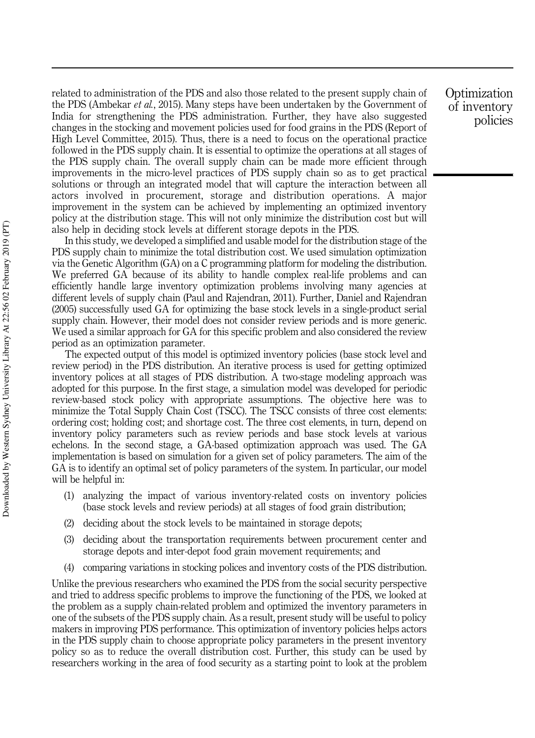related to administration of the PDS and also those related to the present supply chain of the PDS (Ambekar *et al.*, 2015). Many steps have been undertaken by the Government of India for strengthening the PDS administration. Further, they have also suggested changes in the stocking and movement policies used for food grains in the PDS (Report of High Level Committee, 2015). Thus, there is a need to focus on the operational practice followed in the PDS supply chain. It is essential to optimize the operations at all stages of the PDS supply chain. The overall supply chain can be made more efficient through improvements in the micro-level practices of PDS supply chain so as to get practical solutions or through an integrated model that will capture the interaction between all actors involved in procurement, storage and distribution operations. A major improvement in the system can be achieved by implementing an optimized inventory policy at the distribution stage. This will not only minimize the distribution cost but will also help in deciding stock levels at different storage depots in the PDS.

In this study, we developed a simplified and usable model for the distribution stage of the PDS supply chain to minimize the total distribution cost. We used simulation optimization via the Genetic Algorithm (GA) on a C programming platform for modeling the distribution. We preferred GA because of its ability to handle complex real-life problems and can efficiently handle large inventory optimization problems involving many agencies at different levels of supply chain (Paul and Rajendran, 2011). Further, Daniel and Rajendran (2005) successfully used GA for optimizing the base stock levels in a single-product serial supply chain. However, their model does not consider review periods and is more generic. We used a similar approach for GA for this specific problem and also considered the review period as an optimization parameter.

The expected output of this model is optimized inventory policies (base stock level and review period) in the PDS distribution. An iterative process is used for getting optimized inventory polices at all stages of PDS distribution. A two-stage modeling approach was adopted for this purpose. In the first stage, a simulation model was developed for periodic review-based stock policy with appropriate assumptions. The objective here was to minimize the Total Supply Chain Cost (TSCC). The TSCC consists of three cost elements: ordering cost; holding cost; and shortage cost. The three cost elements, in turn, depend on inventory policy parameters such as review periods and base stock levels at various echelons. In the second stage, a GA-based optimization approach was used. The GA implementation is based on simulation for a given set of policy parameters. The aim of the GA is to identify an optimal set of policy parameters of the system. In particular, our model will be helpful in:

- (1) analyzing the impact of various inventory-related costs on inventory policies (base stock levels and review periods) at all stages of food grain distribution;
- (2) deciding about the stock levels to be maintained in storage depots;
- (3) deciding about the transportation requirements between procurement center and storage depots and inter-depot food grain movement requirements; and
- (4) comparing variations in stocking polices and inventory costs of the PDS distribution.

Unlike the previous researchers who examined the PDS from the social security perspective and tried to address specific problems to improve the functioning of the PDS, we looked at the problem as a supply chain-related problem and optimized the inventory parameters in one of the subsets of the PDS supply chain. As a result, present study will be useful to policy makers in improving PDS performance. This optimization of inventory policies helps actors in the PDS supply chain to choose appropriate policy parameters in the present inventory policy so as to reduce the overall distribution cost. Further, this study can be used by researchers working in the area of food security as a starting point to look at the problem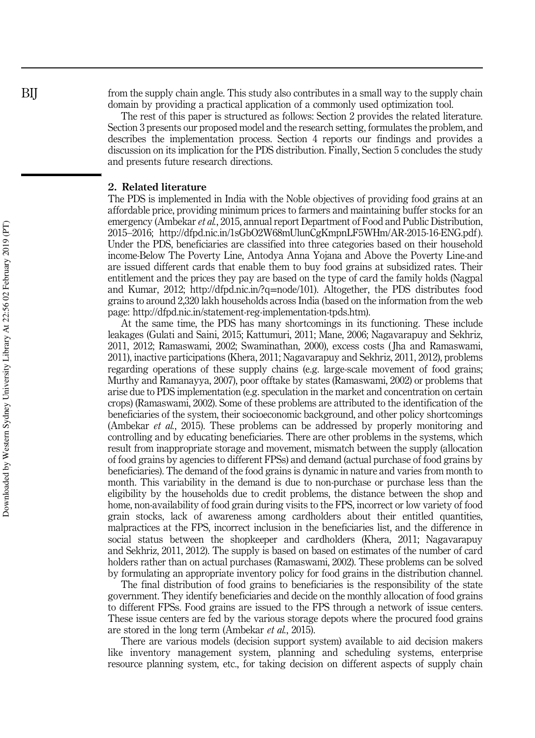from the supply chain angle. This study also contributes in a small way to the supply chain domain by providing a practical application of a commonly used optimization tool.

The rest of this paper is structured as follows: Section 2 provides the related literature. Section 3 presents our proposed model and the research setting, formulates the problem, and describes the implementation process. Section 4 reports our findings and provides a discussion on its implication for the PDS distribution. Finally, Section 5 concludes the study and presents future research directions.

#### 2. Related literature

The PDS is implemented in India with the Noble objectives of providing food grains at an affordable price, providing minimum prices to farmers and maintaining buffer stocks for an emergency (Ambekar *et al.*, 2015, annual report Department of Food and Public Distribution, 2015–2016; http://dfpd.nic.in/1sGbO2W68mUlunCgKmpnLF5WHm/AR-2015-16-ENG.pdf ). Under the PDS, beneficiaries are classified into three categories based on their household income-Below The Poverty Line, Antodya Anna Yojana and Above the Poverty Line-and are issued different cards that enable them to buy food grains at subsidized rates. Their entitlement and the prices they pay are based on the type of card the family holds (Nagpal and Kumar, 2012; http://dfpd.nic.in/?q=node/101). Altogether, the PDS distributes food grains to around 2,320 lakh households across India (based on the information from the web page: http://dfpd.nic.in/statement-reg-implementation-tpds.htm).

At the same time, the PDS has many shortcomings in its functioning. These include leakages (Gulati and Saini, 2015; Kattumuri, 2011; Mane, 2006; Nagavarapuy and Sekhriz, 2011, 2012; Ramaswami, 2002; Swaminathan, 2000), excess costs ( Jha and Ramaswami, 2011), inactive participations (Khera, 2011; Nagavarapuy and Sekhriz, 2011, 2012), problems regarding operations of these supply chains (e.g. large-scale movement of food grains; Murthy and Ramanayya, 2007), poor offtake by states (Ramaswami, 2002) or problems that arise due to PDS implementation (e.g. speculation in the market and concentration on certain crops) (Ramaswami, 2002). Some of these problems are attributed to the identification of the beneficiaries of the system, their socioeconomic background, and other policy shortcomings (Ambekar *et al.*, 2015). These problems can be addressed by properly monitoring and controlling and by educating beneficiaries. There are other problems in the systems, which result from inappropriate storage and movement, mismatch between the supply (allocation of food grains by agencies to different FPSs) and demand (actual purchase of food grains by beneficiaries). The demand of the food grains is dynamic in nature and varies from month to month. This variability in the demand is due to non-purchase or purchase less than the eligibility by the households due to credit problems, the distance between the shop and home, non-availability of food grain during visits to the FPS, incorrect or low variety of food grain stocks, lack of awareness among cardholders about their entitled quantities, malpractices at the FPS, incorrect inclusion in the beneficiaries list, and the difference in social status between the shopkeeper and cardholders (Khera, 2011; Nagavarapuy and Sekhriz, 2011, 2012). The supply is based on based on estimates of the number of card holders rather than on actual purchases (Ramaswami, 2002). These problems can be solved by formulating an appropriate inventory policy for food grains in the distribution channel.

The final distribution of food grains to beneficiaries is the responsibility of the state government. They identify beneficiaries and decide on the monthly allocation of food grains to different FPSs. Food grains are issued to the FPS through a network of issue centers. These issue centers are fed by the various storage depots where the procured food grains are stored in the long term (Ambekar *et al.*, 2015).

There are various models (decision support system) available to aid decision makers like inventory management system, planning and scheduling systems, enterprise resource planning system, etc., for taking decision on different aspects of supply chain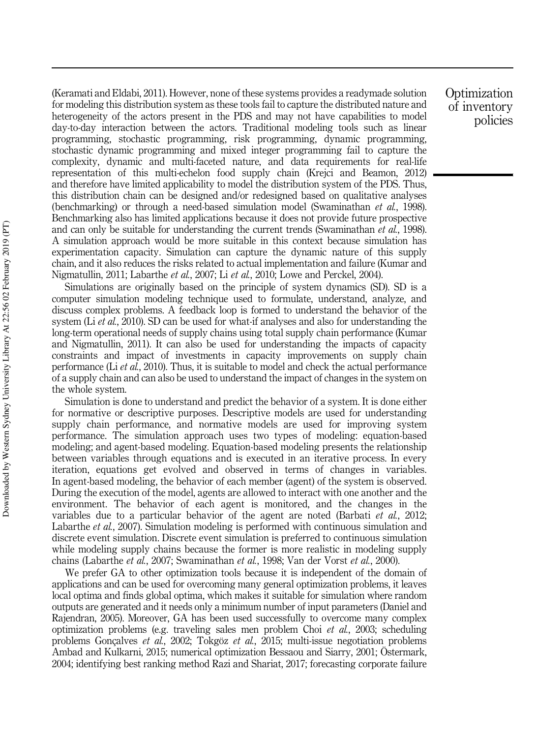(Keramati and Eldabi, 2011). However, none of these systems provides a readymade solution for modeling this distribution system as these tools fail to capture the distributed nature and heterogeneity of the actors present in the PDS and may not have capabilities to model day-to-day interaction between the actors. Traditional modeling tools such as linear programming, stochastic programming, risk programming, dynamic programming, stochastic dynamic programming and mixed integer programming fail to capture the complexity, dynamic and multi-faceted nature, and data requirements for real-life representation of this multi-echelon food supply chain (Krejci and Beamon, 2012) and therefore have limited applicability to model the distribution system of the PDS. Thus, this distribution chain can be designed and/or redesigned based on qualitative analyses (benchmarking) or through a need-based simulation model (Swaminathan *et al.*, 1998). Benchmarking also has limited applications because it does not provide future prospective and can only be suitable for understanding the current trends (Swaminathan *et al.*, 1998). A simulation approach would be more suitable in this context because simulation has experimentation capacity. Simulation can capture the dynamic nature of this supply chain, and it also reduces the risks related to actual implementation and failure (Kumar and Nigmatullin, 2011; Labarthe *et al.*, 2007; Li *et al.*, 2010; Lowe and Perckel, 2004).

Simulations are originally based on the principle of system dynamics (SD). SD is a computer simulation modeling technique used to formulate, understand, analyze, and discuss complex problems. A feedback loop is formed to understand the behavior of the system (Li *et al.*, 2010). SD can be used for what-if analyses and also for understanding the long-term operational needs of supply chains using total supply chain performance (Kumar and Nigmatullin, 2011). It can also be used for understanding the impacts of capacity constraints and impact of investments in capacity improvements on supply chain performance (Li *et al.*, 2010). Thus, it is suitable to model and check the actual performance of a supply chain and can also be used to understand the impact of changes in the system on the whole system.

Simulation is done to understand and predict the behavior of a system. It is done either for normative or descriptive purposes. Descriptive models are used for understanding supply chain performance, and normative models are used for improving system performance. The simulation approach uses two types of modeling: equation-based modeling; and agent-based modeling. Equation-based modeling presents the relationship between variables through equations and is executed in an iterative process. In every iteration, equations get evolved and observed in terms of changes in variables. In agent-based modeling, the behavior of each member (agent) of the system is observed. During the execution of the model, agents are allowed to interact with one another and the environment. The behavior of each agent is monitored, and the changes in the variables due to a particular behavior of the agent are noted (Barbati *et al.*, 2012; Labarthe *et al.*, 2007). Simulation modeling is performed with continuous simulation and discrete event simulation. Discrete event simulation is preferred to continuous simulation while modeling supply chains because the former is more realistic in modeling supply chains (Labarthe *et al.*, 2007; Swaminathan *et al.*, 1998; Van der Vorst *et al.*, 2000).

We prefer GA to other optimization tools because it is independent of the domain of applications and can be used for overcoming many general optimization problems, it leaves local optima and finds global optima, which makes it suitable for simulation where random outputs are generated and it needs only a minimum number of input parameters (Daniel and Rajendran, 2005). Moreover, GA has been used successfully to overcome many complex optimization problems (e.g. traveling sales men problem Choi *et al.*, 2003; scheduling problems Gonçalves *et al.*, 2002; Tokgöz *et al.*, 2015; multi-issue negotiation problems Ambad and Kulkarni, 2015; numerical optimization Bessaou and Siarry, 2001; Östermark, 2004; identifying best ranking method Razi and Shariat, 2017; forecasting corporate failure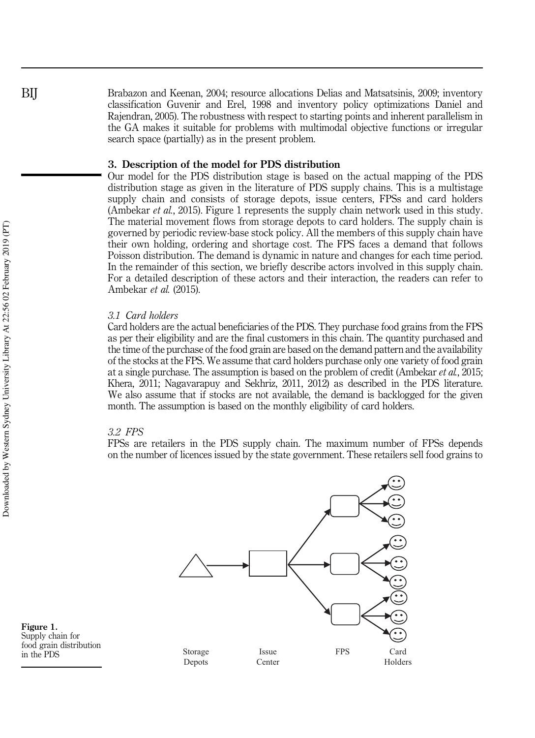Brabazon and Keenan, 2004; resource allocations Delias and Matsatsinis, 2009; inventory classification Guvenir and Erel, 1998 and inventory policy optimizations Daniel and Rajendran, 2005). The robustness with respect to starting points and inherent parallelism in the GA makes it suitable for problems with multimodal objective functions or irregular search space (partially) as in the present problem.

#### 3. Description of the model for PDS distribution

Our model for the PDS distribution stage is based on the actual mapping of the PDS distribution stage as given in the literature of PDS supply chains. This is a multistage supply chain and consists of storage depots, issue centers, FPSs and card holders (Ambekar *et al.*, 2015). Figure 1 represents the supply chain network used in this study. The material movement flows from storage depots to card holders. The supply chain is governed by periodic review-base stock policy. All the members of this supply chain have their own holding, ordering and shortage cost. The FPS faces a demand that follows Poisson distribution. The demand is dynamic in nature and changes for each time period. In the remainder of this section, we briefly describe actors involved in this supply chain. For a detailed description of these actors and their interaction, the readers can refer to Ambekar *et al.* (2015).

#### *3.1 Card holders*

Card holders are the actual beneficiaries of the PDS. They purchase food grains from the FPS as per their eligibility and are the final customers in this chain. The quantity purchased and the time of the purchase of the food grain are based on the demand pattern and the availability of the stocks at the FPS. We assume that card holders purchase only one variety of food grain at a single purchase. The assumption is based on the problem of credit (Ambekar *et al.*, 2015; Khera, 2011; Nagavarapuy and Sekhriz, 2011, 2012) as described in the PDS literature. We also assume that if stocks are not available, the demand is backlogged for the given month. The assumption is based on the monthly eligibility of card holders.

#### *3.2 FPS*

FPSs are retailers in the PDS supply chain. The maximum number of FPSs depends on the number of licences issued by the state government. These retailers sell food grains to



Figure 1. Supply chain for food grain distribution in the PDS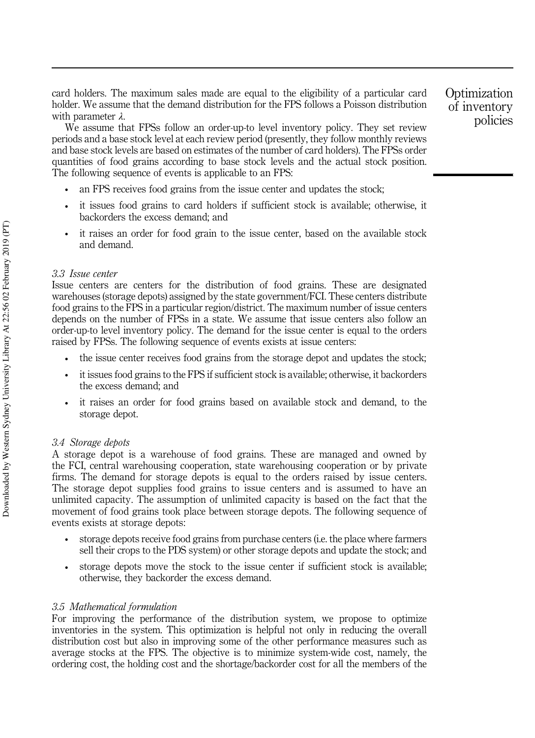card holders. The maximum sales made are equal to the eligibility of a particular card holder. We assume that the demand distribution for the FPS follows a Poisson distribution with parameter λ.

We assume that FPSs follow an order-up-to level inventory policy. They set review periods and a base stock level at each review period (presently, they follow monthly reviews and base stock levels are based on estimates of the number of card holders). The FPSs order quantities of food grains according to base stock levels and the actual stock position. The following sequence of events is applicable to an FPS:

- an FPS receives food grains from the issue center and updates the stock;
- it issues food grains to card holders if sufficient stock is available; otherwise, it backorders the excess demand; and
- it raises an order for food grain to the issue center, based on the available stock and demand.

#### *3.3 Issue center*

Issue centers are centers for the distribution of food grains. These are designated warehouses (storage depots) assigned by the state government/FCI. These centers distribute food grains to the FPS in a particular region/district. The maximum number of issue centers depends on the number of FPSs in a state. We assume that issue centers also follow an order-up-to level inventory policy. The demand for the issue center is equal to the orders raised by FPSs. The following sequence of events exists at issue centers:

- the issue center receives food grains from the storage depot and updates the stock;
- it issues food grains to the FPS if sufficient stock is available; otherwise, it backorders the excess demand; and
- it raises an order for food grains based on available stock and demand, to the storage depot.

#### *3.4 Storage depots*

A storage depot is a warehouse of food grains. These are managed and owned by the FCI, central warehousing cooperation, state warehousing cooperation or by private firms. The demand for storage depots is equal to the orders raised by issue centers. The storage depot supplies food grains to issue centers and is assumed to have an unlimited capacity. The assumption of unlimited capacity is based on the fact that the movement of food grains took place between storage depots. The following sequence of events exists at storage depots:

- storage depots receive food grains from purchase centers (i.e. the place where farmers sell their crops to the PDS system) or other storage depots and update the stock; and
- storage depots move the stock to the issue center if sufficient stock is available; otherwise, they backorder the excess demand.

#### *3.5 Mathematical formulation*

For improving the performance of the distribution system, we propose to optimize inventories in the system. This optimization is helpful not only in reducing the overall distribution cost but also in improving some of the other performance measures such as average stocks at the FPS. The objective is to minimize system-wide cost, namely, the ordering cost, the holding cost and the shortage/backorder cost for all the members of the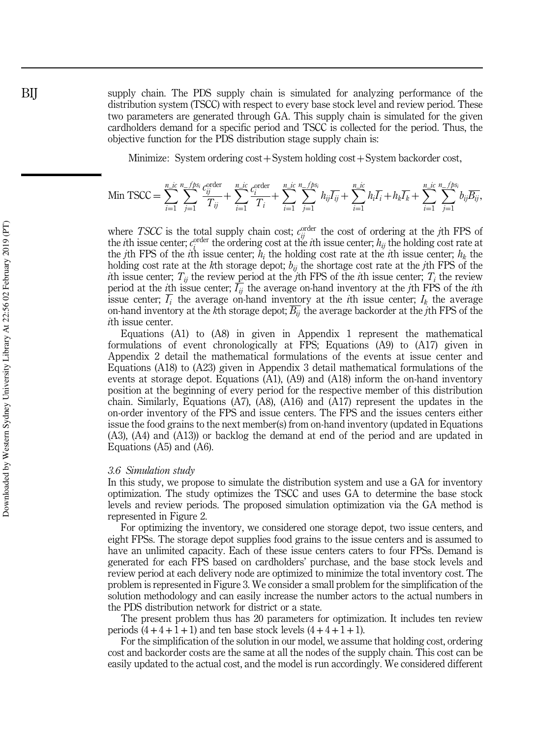supply chain. The PDS supply chain is simulated for analyzing performance of the distribution system (TSCC) with respect to every base stock level and review period. These two parameters are generated through GA. This supply chain is simulated for the given cardholders demand for a specific period and TSCC is collected for the period. Thus, the objective function for the PDS distribution stage supply chain is:

Minimize: System ordering  $\cos t + S$ ystem holding  $\cos t + S$ ystem backorder cost,

Min TSCC = 
$$
\sum_{i=1}^{n} \sum_{j=1}^{i} \sum_{j=1}^{n} \frac{f_{j} \delta_{i}}{T_{ij}} + \sum_{i=1}^{n} \frac{c_{i}^{order}}{T_{i}} + \sum_{i=1}^{n} \sum_{j=1}^{i} \sum_{j=1}^{n} h_{ij} \overline{I_{ij}} + \sum_{i=1}^{n} h_{i} \overline{I_{i}} + h_{k} \overline{I_{k}} + \sum_{i=1}^{n} \sum_{j=1}^{n} b_{ij} \overline{B_{ij}},
$$

where *TSCC* is the total supply chain cost;  $c_{ij}^{\text{order}}$  the cost of ordering at the *j*th FPS of the *i*th issue center;  $c_i^{\text{order}}$  the ordering cost at the *i*th issue center;  $h_{ij}$  the holding cost rate at the *j*th FPS of the *i*th issue center;  $h_i$  the holding cost rate at the *i*th issue center;  $h_k$  the holding cost rate at the *k*th storage depot;  $b_{ij}$  the shortage cost rate at the *j*th FPS of the *i*th issue center; *Tij* the review period at the *j*th FPS of the *i*th issue center; *T<sup>i</sup>* the review period at the *i*th issue center;  $I_{ij}$  the average on-hand inventory at the *j*th FPS of the *i*th issue center;  $I_i$  the average on-hand inventory at the *i*th issue center;  $I_k$  the average on-hand inventory at the *k*th storage depot;  $\overline{B_{ij}}$  the average backorder at the *j*th FPS of the *i*th issue center.

Equations (A1) to (A8) in given in Appendix 1 represent the mathematical formulations of event chronologically at FPS; Equations (A9) to (A17) given in Appendix 2 detail the mathematical formulations of the events at issue center and Equations (A18) to (A23) given in Appendix 3 detail mathematical formulations of the events at storage depot. Equations (A1), (A9) and (A18) inform the on-hand inventory position at the beginning of every period for the respective member of this distribution chain. Similarly, Equations (A7), (A8), (A16) and (A17) represent the updates in the on-order inventory of the FPS and issue centers. The FPS and the issues centers either issue the food grains to the next member(s) from on-hand inventory (updated in Equations (A3), (A4) and (A13)) or backlog the demand at end of the period and are updated in Equations (A5) and (A6).

#### *3.6 Simulation study*

In this study, we propose to simulate the distribution system and use a GA for inventory optimization. The study optimizes the TSCC and uses GA to determine the base stock levels and review periods. The proposed simulation optimization via the GA method is represented in Figure 2.

For optimizing the inventory, we considered one storage depot, two issue centers, and eight FPSs. The storage depot supplies food grains to the issue centers and is assumed to have an unlimited capacity. Each of these issue centers caters to four FPSs. Demand is generated for each FPS based on cardholders' purchase, and the base stock levels and review period at each delivery node are optimized to minimize the total inventory cost. The problem is represented in Figure 3. We consider a small problem for the simplification of the solution methodology and can easily increase the number actors to the actual numbers in the PDS distribution network for district or a state.

The present problem thus has 20 parameters for optimization. It includes ten review periods  $(4+4+1+1)$  and ten base stock levels  $(4+4+1+1)$ .

For the simplification of the solution in our model, we assume that holding cost, ordering cost and backorder costs are the same at all the nodes of the supply chain. This cost can be easily updated to the actual cost, and the model is run accordingly. We considered different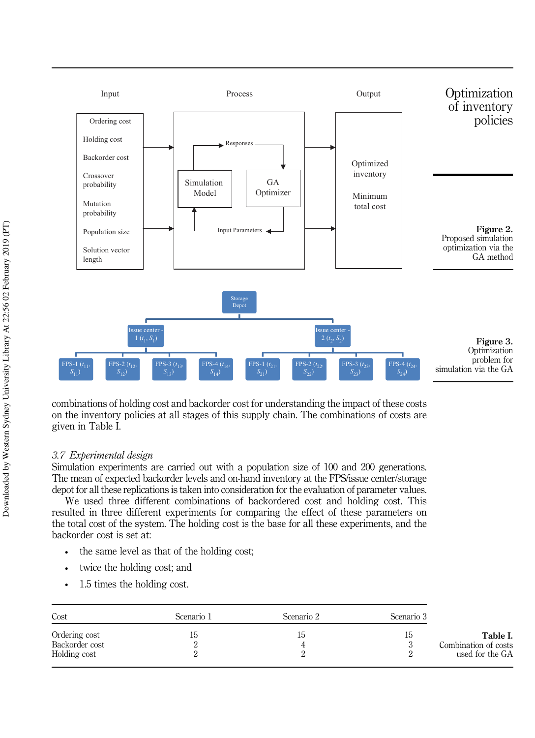

combinations of holding cost and backorder cost for understanding the impact of these costs on the inventory policies at all stages of this supply chain. The combinations of costs are given in Table I.

#### *3.7 Experimental design*

Simulation experiments are carried out with a population size of 100 and 200 generations. The mean of expected backorder levels and on-hand inventory at the FPS/issue center/storage depot for all these replications is taken into consideration for the evaluation of parameter values.

We used three different combinations of backordered cost and holding cost. This resulted in three different experiments for comparing the effect of these parameters on the total cost of the system. The holding cost is the base for all these experiments, and the backorder cost is set at:

- the same level as that of the holding cost;
- twice the holding cost; and
- 1.5 times the holding cost.

| Cost           | Scenario 1 | Scenario 2 | Scenario 3 |                      |
|----------------|------------|------------|------------|----------------------|
| Ordering cost  | - G.L      | Ţр         | 15         | Table I.             |
| Backorder cost |            |            |            | Combination of costs |
| Holding cost   |            |            |            | used for the GA      |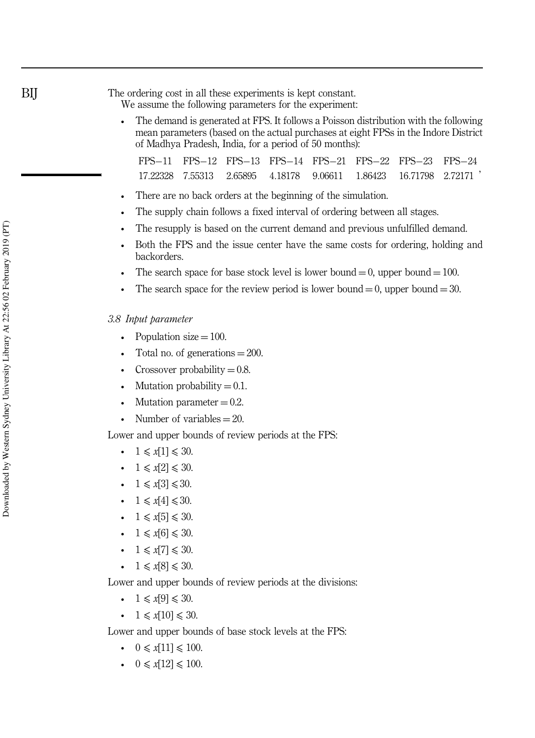The ordering cost in all these experiments is kept constant.

- We assume the following parameters for the experiment:
- The demand is generated at FPS. It follows a Poisson distribution with the following mean parameters (based on the actual purchases at eight FPSs in the Indore District of Madhya Pradesh, India, for a period of 50 months):

|  |  |  | FPS-11 FPS-12 FPS-13 FPS-14 FPS-21 FPS-22 FPS-23 FPS-24           |  |
|--|--|--|-------------------------------------------------------------------|--|
|  |  |  | 17.22328 7.55313 2.65895 4.18178 9.06611 1.86423 16.71798 2.72171 |  |

- There are no back orders at the beginning of the simulation.
- The supply chain follows a fixed interval of ordering between all stages.
- The resupply is based on the current demand and previous unfulfilled demand.
- Both the FPS and the issue center have the same costs for ordering, holding and backorders.
- The search space for base stock level is lower bound  $= 0$ , upper bound  $= 100$ .
- The search space for the review period is lower bound  $= 0$ , upper bound  $= 30$ .

#### *3.8 Input parameter*

- Population size  $= 100$ .
- Total no. of generations  $= 200$ .
- Crossover probability  $= 0.8$ .
- Mutation probability  $= 0.1$ .
- Mutation parameter  $= 0.2$ .
- Number of variables  $= 20$ .

Lower and upper bounds of review periods at the FPS:

- $1 \leq x[1] \leq 30$ .
- $1 \leq x[2] \leq 30$ .
- $1 \leq x \leq 30$ .
- $1 \leq x[4] \leq 30$ .
- $1 \leq x[5] \leq 30$ .
- $1 \leq x[6] \leq 30.$
- $1 \leq x \leq 30.$
- $1 \leq x[8] \leq 30$ .

Lower and upper bounds of review periods at the divisions:

- $1 \leq x[9] \leq 30$ .
- $1 \leq x[10] \leq 30$ .

Lower and upper bounds of base stock levels at the FPS:

- $0 \le x[11] \le 100$ .
- $0 \le x[12] \le 100.$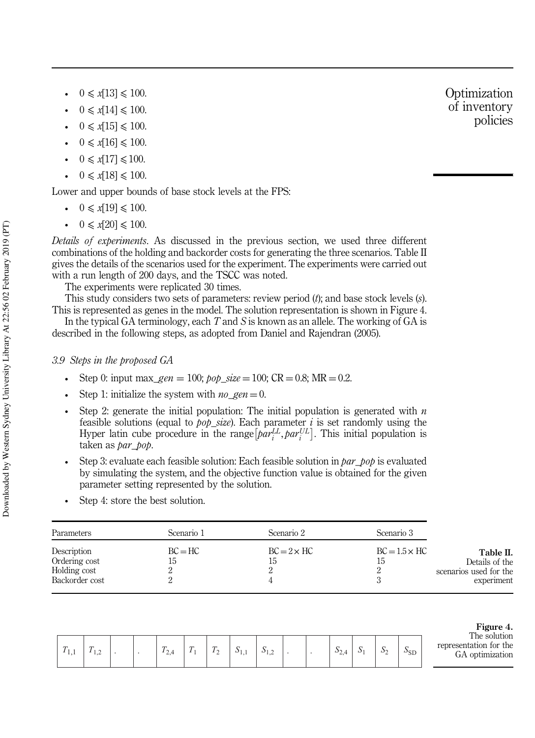- $0 \leq x[13] \leq 100.$
- $0 \leq x[14] \leq 100.$
- $0 \leq x[15] \leq 100.$
- $0 \leq x[16] \leq 100.$
- $0 \leq x[17] \leq 100.$
- $0 \leq x[18] \leq 100.$

Lower and upper bounds of base stock levels at the FPS:

- $0 \leq x[19] \leq 100.$
- $0 \le x[20] \le 100$ .

*Details of experiments*. As discussed in the previous section, we used three different combinations of the holding and backorder costs for generating the three scenarios. Table II gives the details of the scenarios used for the experiment. The experiments were carried out with a run length of 200 days, and the TSCC was noted.

The experiments were replicated 30 times.

This study considers two sets of parameters: review period (*t*); and base stock levels (*s*). This is represented as genes in the model. The solution representation is shown in Figure 4.

In the typical GA terminology, each *T* and *S* is known as an allele. The working of GA is described in the following steps, as adopted from Daniel and Rajendran (2005).

#### *3.9 Steps in the proposed GA*

- Step 0: input max\_*gen* = 100;  $pop\_size = 100$ ; CR = 0.8; MR = 0.2.
- Step 1: initialize the system with *no\_gen* = 0.
- Step 2: generate the initial population: The initial population is generated with *n* feasible solutions (equal to *pop*\_*size*). Each parameter *i* is set randomly using the Hyper latin cube procedure in the range  $\left[par_i^{LL}, par_i^{UL}\right]$ . This initial population is taken as *par*\_*pop*.
- Step 3: evaluate each feasible solution: Each feasible solution in *par*\_*pop* is evaluated by simulating the system, and the objective function value is obtained for the given parameter setting represented by the solution.
- Step 4: store the best solution.

| Parameters                                                     | Scenario 1      | Scenario 2               | Scenario 3                 |                                                                     |
|----------------------------------------------------------------|-----------------|--------------------------|----------------------------|---------------------------------------------------------------------|
| Description<br>Ordering cost<br>Holding cost<br>Backorder cost | $BC = HC$<br>15 | $BC = 2 \times HC$<br>15 | $BC = 1.5 \times HC$<br>15 | Table II.<br>Details of the<br>scenarios used for the<br>experiment |

|               |        |  |                               |                        |                  |              |                |  |                             |   |    |                              | Figure 4.<br>The solution |
|---------------|--------|--|-------------------------------|------------------------|------------------|--------------|----------------|--|-----------------------------|---|----|------------------------------|---------------------------|
| $\sim$        | $\tau$ |  | $\tau$<br>2.4<br>$\mathbf{r}$ | $\tau$<br>$\mathbf{I}$ | $\tau$<br>$\sim$ | $\sim$<br>د، | $\mathbf{D}$ 1 |  | $\tilde{\phantom{a}}$<br>ມາ | ມ | ചാ | $\sim$<br>$\mathcal{P}_{SD}$ | representation for the    |
| $\frac{1}{2}$ |        |  |                               |                        | ∸                | $\cdot$      | $\overline{1}$ |  | تم ک                        |   | -  |                              | GA optimization           |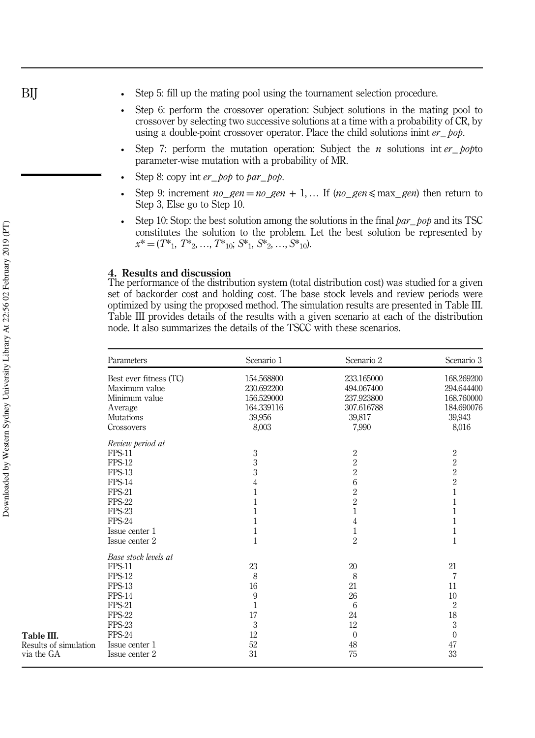- Step 5: fill up the mating pool using the tournament selection procedure.
- Step 6: perform the crossover operation: Subject solutions in the mating pool to crossover by selecting two successive solutions at a time with a probability of CR, by using a double-point crossover operator. Place the child solutions inint *er*\_ *pop*.
- Step 7: perform the mutation operation: Subject the  $n$  solutions int  $er$  *pop*to parameter-wise mutation with a probability of MR.
- Step 8: copy int *er*\_ *pop* to *par*\_ *pop*.
- Step 9: increment  $no\_gen = no\_gen + 1, \ldots$  If  $(no\_gen \le max\_gen)$  then return to Step 3, Else go to Step 10.
- Step 10: Stop: the best solution among the solutions in the final *par*\_ *pop* and its TSC constitutes the solution to the problem. Let the best solution be represented by  $x^* = (T^*_{1}, T^*_{2}, ..., T^*_{10}; S^*_{1}, S^*_{2}, ..., S^*_{10}).$

#### 4. Results and discussion

The performance of the distribution system (total distribution cost) was studied for a given set of backorder cost and holding cost. The base stock levels and review periods were optimized by using the proposed method. The simulation results are presented in Table III. Table III provides details of the results with a given scenario at each of the distribution node. It also summarizes the details of the TSCC with these scenarios.

| Parameters             | Scenario 1     | Scenario 2     | Scenario 3     |  |
|------------------------|----------------|----------------|----------------|--|
| Best ever fitness (TC) | 154.568800     | 233.165000     | 168.269200     |  |
| Maximum value          | 230.692200     | 494.067400     | 294.644400     |  |
| Minimum value          | 156.529000     | 237.923800     | 168.760000     |  |
| Average                | 164.339116     | 307.616788     | 184.690076     |  |
| <b>Mutations</b>       | 39,956         | 39,817         | 39,943         |  |
| Crossovers             | 8,003          | 7,990          | 8,016          |  |
| Review period at       |                |                |                |  |
| <b>FPS-11</b>          | 3              | $\overline{2}$ | $\overline{2}$ |  |
| <b>FPS-12</b>          | $\overline{3}$ | $\,2$          | $\overline{2}$ |  |
| <b>FPS-13</b>          | 3              | $\overline{2}$ | $\overline{2}$ |  |
| <b>FPS-14</b>          | $\overline{4}$ | $\,6$          | $\overline{2}$ |  |
| <b>FPS-21</b>          | $\overline{1}$ | $\overline{2}$ | $\mathbf 1$    |  |
| <b>FPS-22</b>          | $\mathbf{1}$   | $\sqrt{2}$     | $\mathbf{1}$   |  |
| <b>FPS-23</b>          | $\overline{1}$ | $\mathbf{1}$   | $\mathbf 1$    |  |
| <b>FPS-24</b>          | $\overline{1}$ | 4              | $\overline{1}$ |  |
| Issue center 1         | 1              | $\mathbf{1}$   | $\mathbf{1}$   |  |
| Issue center 2         | 1              | $\overline{2}$ | $\mathbf{1}$   |  |
| Base stock levels at   |                |                |                |  |
| <b>FPS-11</b>          | 23             | 20             | 21             |  |
| <b>FPS-12</b>          | 8              | 8              | 7              |  |
| <b>FPS-13</b>          | 16             | 21             | 11             |  |
| <b>FPS-14</b>          | 9              | 26             | 10             |  |
| <b>FPS-21</b>          | $\overline{1}$ | 6              | $\overline{2}$ |  |
| <b>FPS-22</b>          | 17             | 24             | 18             |  |
| <b>FPS-23</b>          | 3              | 12             | 3              |  |
| <b>FPS-24</b>          | 12             | $\theta$       | $\mathbf{0}$   |  |
| Issue center 1         | 52             | 48             | 47             |  |
| Issue center 2         | 31             | 75             | 33             |  |

Table III. Results of simula via the GA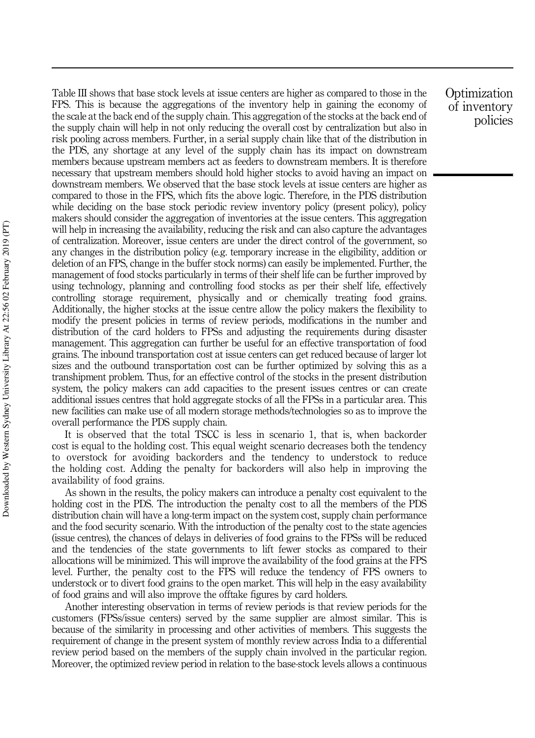Table III shows that base stock levels at issue centers are higher as compared to those in the FPS. This is because the aggregations of the inventory help in gaining the economy of the scale at the back end of the supply chain. This aggregation of the stocks at the back end of the supply chain will help in not only reducing the overall cost by centralization but also in risk pooling across members. Further, in a serial supply chain like that of the distribution in the PDS, any shortage at any level of the supply chain has its impact on downstream members because upstream members act as feeders to downstream members. It is therefore necessary that upstream members should hold higher stocks to avoid having an impact on downstream members. We observed that the base stock levels at issue centers are higher as compared to those in the FPS, which fits the above logic. Therefore, in the PDS distribution while deciding on the base stock periodic review inventory policy (present policy), policy makers should consider the aggregation of inventories at the issue centers. This aggregation will help in increasing the availability, reducing the risk and can also capture the advantages of centralization. Moreover, issue centers are under the direct control of the government, so any changes in the distribution policy (e.g. temporary increase in the eligibility, addition or deletion of an FPS, change in the buffer stock norms) can easily be implemented. Further, the management of food stocks particularly in terms of their shelf life can be further improved by using technology, planning and controlling food stocks as per their shelf life, effectively controlling storage requirement, physically and or chemically treating food grains. Additionally, the higher stocks at the issue centre allow the policy makers the flexibility to modify the present policies in terms of review periods, modifications in the number and distribution of the card holders to FPSs and adjusting the requirements during disaster management. This aggregation can further be useful for an effective transportation of food grains. The inbound transportation cost at issue centers can get reduced because of larger lot sizes and the outbound transportation cost can be further optimized by solving this as a transhipment problem. Thus, for an effective control of the stocks in the present distribution system, the policy makers can add capacities to the present issues centres or can create additional issues centres that hold aggregate stocks of all the FPSs in a particular area. This new facilities can make use of all modern storage methods/technologies so as to improve the overall performance the PDS supply chain.

It is observed that the total TSCC is less in scenario 1, that is, when backorder cost is equal to the holding cost. This equal weight scenario decreases both the tendency to overstock for avoiding backorders and the tendency to understock to reduce the holding cost. Adding the penalty for backorders will also help in improving the availability of food grains.

As shown in the results, the policy makers can introduce a penalty cost equivalent to the holding cost in the PDS. The introduction the penalty cost to all the members of the PDS distribution chain will have a long-term impact on the system cost, supply chain performance and the food security scenario. With the introduction of the penalty cost to the state agencies (issue centres), the chances of delays in deliveries of food grains to the FPSs will be reduced and the tendencies of the state governments to lift fewer stocks as compared to their allocations will be minimized. This will improve the availability of the food grains at the FPS level. Further, the penalty cost to the FPS will reduce the tendency of FPS owners to understock or to divert food grains to the open market. This will help in the easy availability of food grains and will also improve the offtake figures by card holders.

Another interesting observation in terms of review periods is that review periods for the customers (FPSs/issue centers) served by the same supplier are almost similar. This is because of the similarity in processing and other activities of members. This suggests the requirement of change in the present system of monthly review across India to a differential review period based on the members of the supply chain involved in the particular region. Moreover, the optimized review period in relation to the base-stock levels allows a continuous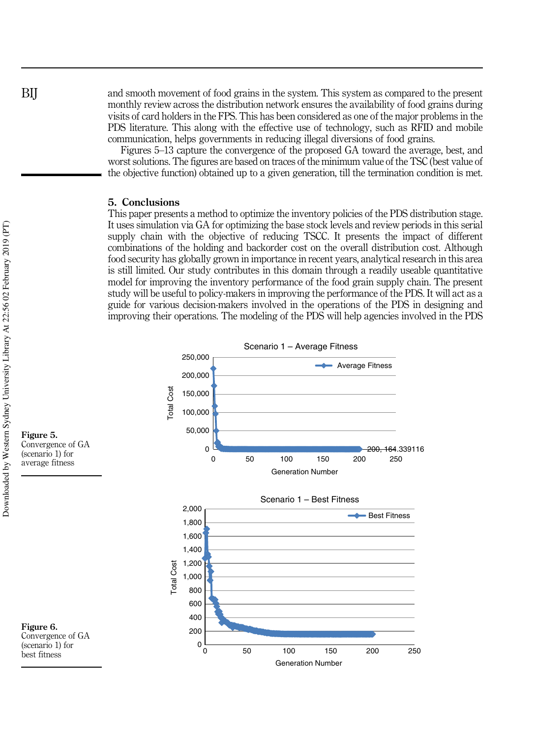and smooth movement of food grains in the system. This system as compared to the present monthly review across the distribution network ensures the availability of food grains during visits of card holders in the FPS. This has been considered as one of the major problems in the PDS literature. This along with the effective use of technology, such as RFID and mobile communication, helps governments in reducing illegal diversions of food grains.

Figures 5–13 capture the convergence of the proposed GA toward the average, best, and worst solutions. The figures are based on traces of the minimum value of the TSC (best value of the objective function) obtained up to a given generation, till the termination condition is met.

#### 5. Conclusions

This paper presents a method to optimize the inventory policies of the PDS distribution stage. It uses simulation via GA for optimizing the base stock levels and review periods in this serial supply chain with the objective of reducing TSCC. It presents the impact of different combinations of the holding and backorder cost on the overall distribution cost. Although food security has globally grown in importance in recent years, analytical research in this area is still limited. Our study contributes in this domain through a readily useable quantitative model for improving the inventory performance of the food grain supply chain. The present study will be useful to policy-makers in improving the performance of the PDS. It will act as a guide for various decision-makers involved in the operations of the PDS in designing and improving their operations. The modeling of the PDS will help agencies involved in the PDS



Figure 5. Convergence of GA (scenario 1) for average fitness

Figure 6. Convergence of GA (scenario 1) for best fitness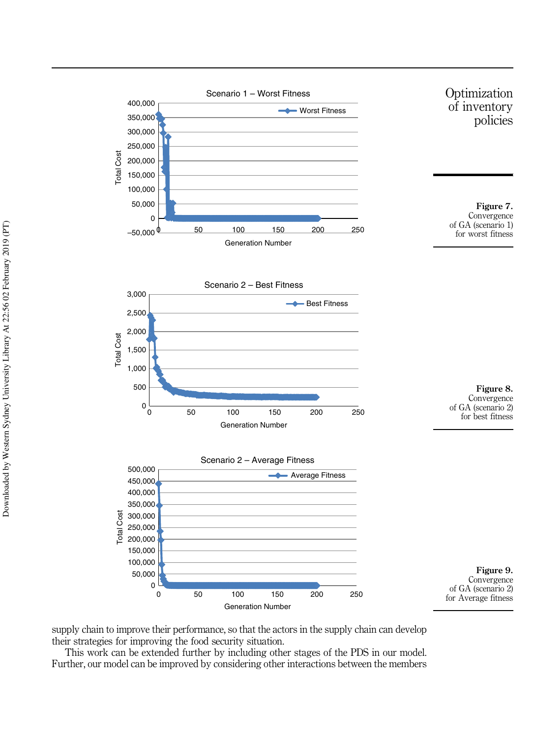

supply chain to improve their performance, so that the actors in the supply chain can develop their strategies for improving the food security situation.

This work can be extended further by including other stages of the PDS in our model. Further, our model can be improved by considering other interactions between the members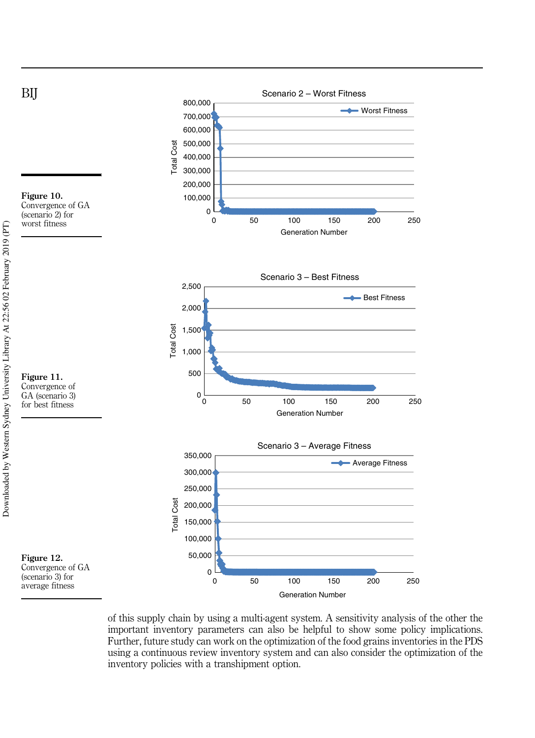

of this supply chain by using a multi-agent system. A sensitivity analysis of the other the important inventory parameters can also be helpful to show some policy implications. Further, future study can work on the optimization of the food grains inventories in the PDS using a continuous review inventory system and can also consider the optimization of the inventory policies with a transhipment option.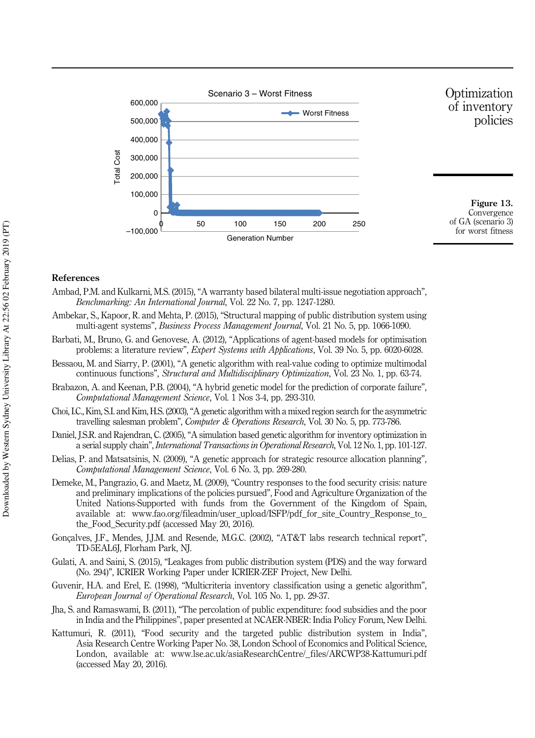

#### References

- Ambad, P.M. and Kulkarni, M.S. (2015), "A warranty based bilateral multi-issue negotiation approach", *Benchmarking: An International Journal*, Vol. 22 No. 7, pp. 1247-1280.
- Ambekar, S., Kapoor, R. and Mehta, P. (2015), "Structural mapping of public distribution system using multi-agent systems", *Business Process Management Journal*, Vol. 21 No. 5, pp. 1066-1090.
- Barbati, M., Bruno, G. and Genovese, A. (2012), "Applications of agent-based models for optimisation problems: a literature review", *Expert Systems with Applications*, Vol. 39 No. 5, pp. 6020-6028.
- Bessaou, M. and Siarry, P. (2001), "A genetic algorithm with real-value coding to optimize multimodal continuous functions", *Structural and Multidisciplinary Optimization*, Vol. 23 No. 1, pp. 63-74.
- Brabazon, A. and Keenan, P.B. (2004), "A hybrid genetic model for the prediction of corporate failure", *Computational Management Science*, Vol. 1 Nos 3-4, pp. 293-310.
- Choi, I.C., Kim, S.I. and Kim, H.S. (2003),"A genetic algorithm with a mixed region search for the asymmetric travelling salesman problem", *Computer & Operations Research*, Vol. 30 No. 5, pp. 773-786.
- Daniel, J.S.R. and Rajendran, C. (2005), "A simulation based genetic algorithm for inventory optimization in a serial supply chain", *International Transactions in Operational Research*, Vol. 12 No. 1, pp. 101-127.
- Delias, P. and Matsatsinis, N. (2009), "A genetic approach for strategic resource allocation planning", *Computational Management Science*, Vol. 6 No. 3, pp. 269-280.
- Demeke, M., Pangrazio, G. and Maetz, M. (2009), "Country responses to the food security crisis: nature and preliminary implications of the policies pursued", Food and Agriculture Organization of the United Nations-Supported with funds from the Government of the Kingdom of Spain, available at: www.fao.org/fileadmin/user\_upload/ISFP/pdf\_for\_site\_Country\_Response\_to\_ the\_Food\_Security.pdf (accessed May 20, 2016).
- Gonçalves, J.F., Mendes, J.J.M. and Resende, M.G.C. (2002), "AT&T labs research technical report", TD-5EAL6J, Florham Park, NJ.
- Gulati, A. and Saini, S. (2015), "Leakages from public distribution system (PDS) and the way forward (No. 294)", ICRIER Working Paper under ICRIER-ZEF Project, New Delhi.
- Guvenir, H.A. and Erel, E. (1998), "Multicriteria inventory classification using a genetic algorithm", *European Journal of Operational Research*, Vol. 105 No. 1, pp. 29-37.
- Jha, S. and Ramaswami, B. (2011), "The percolation of public expenditure: food subsidies and the poor in India and the Philippines", paper presented at NCAER-NBER: India Policy Forum, New Delhi.
- Kattumuri, R. (2011), "Food security and the targeted public distribution system in India", Asia Research Centre Working Paper No. 38, London School of Economics and Political Science, London, available at: www.lse.ac.uk/asiaResearchCentre/\_files/ARCWP38-Kattumuri.pdf (accessed May 20, 2016).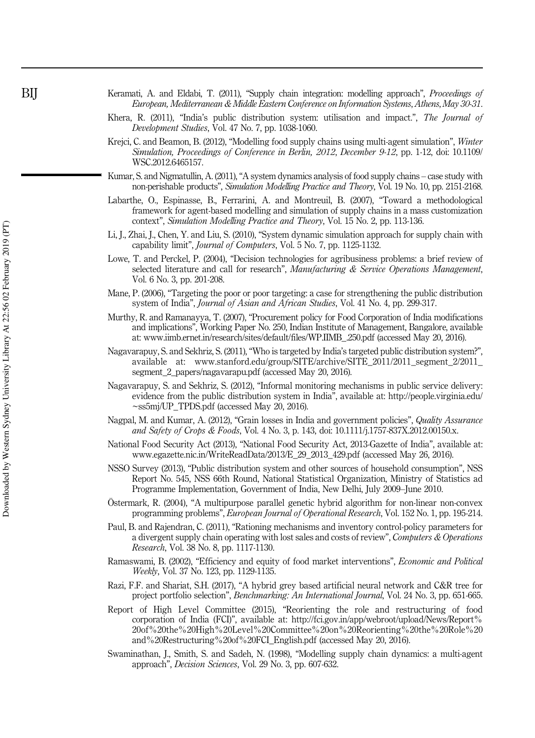- Keramati, A. and Eldabi, T. (2011), "Supply chain integration: modelling approach", *Proceedings of European, Mediterranean & Middle Eastern Conference on Information Systems*, *Athens*, *May 30-31*.
- Khera, R. (2011), "India's public distribution system: utilisation and impact.", *The Journal of Development Studies*, Vol. 47 No. 7, pp. 1038-1060.
- Krejci, C. and Beamon, B. (2012), "Modelling food supply chains using multi-agent simulation", *Winter Simulation, Proceedings of Conference in Berlin, 2012*, *December 9-12*, pp. 1-12, doi: 10.1109/ WSC.2012.6465157.
- Kumar, S. and Nigmatullin, A. (2011), "A system dynamics analysis of food supply chains case study with non-perishable products", *Simulation Modelling Practice and Theory*, Vol. 19 No. 10, pp. 2151-2168.
- Labarthe, O., Espinasse, B., Ferrarini, A. and Montreuil, B. (2007), "Toward a methodological framework for agent-based modelling and simulation of supply chains in a mass customization context", *Simulation Modelling Practice and Theory*, Vol. 15 No. 2, pp. 113-136.
- Li, J., Zhai, J., Chen, Y. and Liu, S. (2010), "System dynamic simulation approach for supply chain with capability limit", *Journal of Computers*, Vol. 5 No. 7, pp. 1125-1132.
- Lowe, T. and Perckel, P. (2004), "Decision technologies for agribusiness problems: a brief review of selected literature and call for research", *Manufacturing & Service Operations Management*, Vol. 6 No. 3, pp. 201-208.
- Mane, P. (2006), "Targeting the poor or poor targeting: a case for strengthening the public distribution system of India", *Journal of Asian and African Studies*, Vol. 41 No. 4, pp. 299-317.
- Murthy, R. and Ramanayya, T. (2007), "Procurement policy for Food Corporation of India modifications and implications", Working Paper No. 250, Indian Institute of Management, Bangalore, available at: www.iimb.ernet.in/research/sites/default/files/WP.IIMB\_.250.pdf (accessed May 20, 2016).
- Nagavarapuy, S. and Sekhriz, S. (2011), "Who is targeted by India's targeted public distribution system?", available at: www.stanford.edu/group/SITE/archive/SITE\_2011/2011\_segment\_2/2011\_ segment\_2\_papers/nagavarapu.pdf (accessed May 20, 2016).
- Nagavarapuy, S. and Sekhriz, S. (2012), "Informal monitoring mechanisms in public service delivery: evidence from the public distribution system in India", available at: http://people.virginia.edu/ ~ss5mj/UP\_TPDS.pdf (accessed May 20, 2016).
- Nagpal, M. and Kumar, A. (2012), "Grain losses in India and government policies", *Quality Assurance and Safety of Crops & Foods*, Vol. 4 No. 3, p. 143, doi: 10.1111/j.1757-837X.2012.00150.x.
- National Food Security Act (2013), "National Food Security Act, 2013-Gazette of India", available at: www.egazette.nic.in/WriteReadData/2013/E\_29\_2013\_429.pdf (accessed May 26, 2016).
- NSSO Survey (2013), "Public distribution system and other sources of household consumption", NSS Report No. 545, NSS 66th Round, National Statistical Organization, Ministry of Statistics ad Programme Implementation, Government of India, New Delhi, July 2009–June 2010.
- Östermark, R. (2004), "A multipurpose parallel genetic hybrid algorithm for non-linear non-convex programming problems", *European Journal of Operational Research*, Vol. 152 No. 1, pp. 195-214.
- Paul, B. and Rajendran, C. (2011), "Rationing mechanisms and inventory control-policy parameters for a divergent supply chain operating with lost sales and costs of review", *Computers & Operations Research*, Vol. 38 No. 8, pp. 1117-1130.
- Ramaswami, B. (2002), "Efficiency and equity of food market interventions", *Economic and Political Weekly*, Vol. 37 No. 123, pp. 1129-1135.
- Razi, F.F. and Shariat, S.H. (2017), "A hybrid grey based artificial neural network and C&R tree for project portfolio selection", *Benchmarking: An International Journal*, Vol. 24 No. 3, pp. 651-665.
- Report of High Level Committee (2015), "Reorienting the role and restructuring of food corporation of India (FCI)", available at: http://fci.gov.in/app/webroot/upload/News/Report% 20of%20the%20High%20Level%20Committee%20on%20Reorienting%20the%20Role%20 and%20Restructuring%20of%20FCI\_English.pdf (accessed May 20, 2016).
- Swaminathan, J., Smith, S. and Sadeh, N. (1998), "Modelling supply chain dynamics: a multi-agent approach", *Decision Sciences*, Vol. 29 No. 3, pp. 607-632.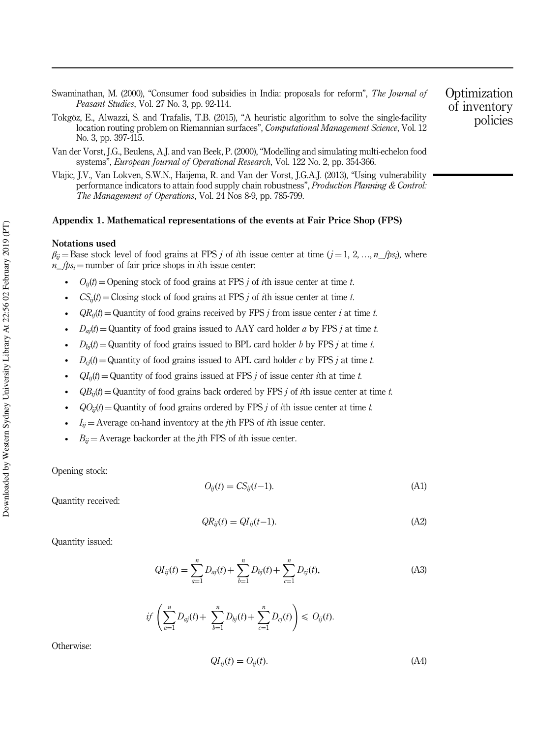- Tokgöz, E., Alwazzi, S. and Trafalis, T.B. (2015), "A heuristic algorithm to solve the single-facility location routing problem on Riemannian surfaces", *Computational Management Science*, Vol. 12 No. 3, pp. 397-415.
- Van der Vorst, J.G., Beulens, A.J. and van Beek, P. (2000), "Modelling and simulating multi-echelon food systems", *European Journal of Operational Research*, Vol. 122 No. 2, pp. 354-366.
- Vlajic, J.V., Van Lokven, S.W.N., Haijema, R. and Van der Vorst, J.G.A.J. (2013), "Using vulnerability performance indicators to attain food supply chain robustness", *Production Planning & Control: The Management of Operations*, Vol. 24 Nos 8-9, pp. 785-799.

#### Appendix 1. Mathematical representations of the events at Fair Price Shop (FPS)

#### Notations used

 $\beta_{ij}$  = Base stock level of food grains at FPS *j* of *i*th issue center at time ( $j = 1, 2, ..., n_f$  *ps*<sub>*i*</sub>), where  $n_fps_i$  = number of fair price shops in *i*th issue center:

- $O_i(t) =$  Opening stock of food grains at FPS *i* of *i*th issue center at time *t*.
- $CS_{ii}(t) = \text{Closing stock of food grains at FPS } j \text{ of } it$  issue center at time *t*.
- $QR_{ii}(t) =$  Quantity of food grains received by FPS *j* from issue center *i* at time *t*.
- $D_{ai}(t) =$ Quantity of food grains issued to AAY card holder *a* by FPS *j* at time *t*.
- $D_b(t) =$ Quantity of food grains issued to BPL card holder *b* by FPS *j* at time *t*.
- $D_c(t) =$ Quantity of food grains issued to APL card holder *c* by FPS *j* at time *t*.
- $Q_i(t) = Q_i(t)$  of food grains issued at FPS *j* of issue center *i*th at time *t*.
- $QB<sub>ii</sub>(t) =$ Quantity of food grains back ordered by FPS *j* of *i*th issue center at time *t*.
- $QO<sub>ii</sub>(t) = Q$ uantity of food grains ordered by FPS *j* of *i*th issue center at time *t*.
- $I_{ii}$  = Average on-hand inventory at the *j*th FPS of *i*th issue center.
- $B_{ii}$  = Average backorder at the *j*th FPS of *i*th issue center.

Opening stock:

$$
O_{ij}(t) = CS_{ij}(t-1). \tag{A1}
$$

Quantity received:

$$
QR_{ij}(t) = QI_{ij}(t-1). \tag{A2}
$$

Quantity issued:

$$
QI_{ij}(t) = \sum_{a=1}^{n} D_{aj}(t) + \sum_{b=1}^{n} D_{bj}(t) + \sum_{c=1}^{n} D_{cj}(t),
$$
\n(A3)

$$
if \left(\sum_{a=1}^n D_{aj}(t) + \sum_{b=1}^n D_{bj}(t) + \sum_{c=1}^n D_{cj}(t)\right) \leq O_{ij}(t).
$$

Otherwise:

$$
QI_{ij}(t) = O_{ij}(t). \tag{A4}
$$

**Optimization** 

of inventory policies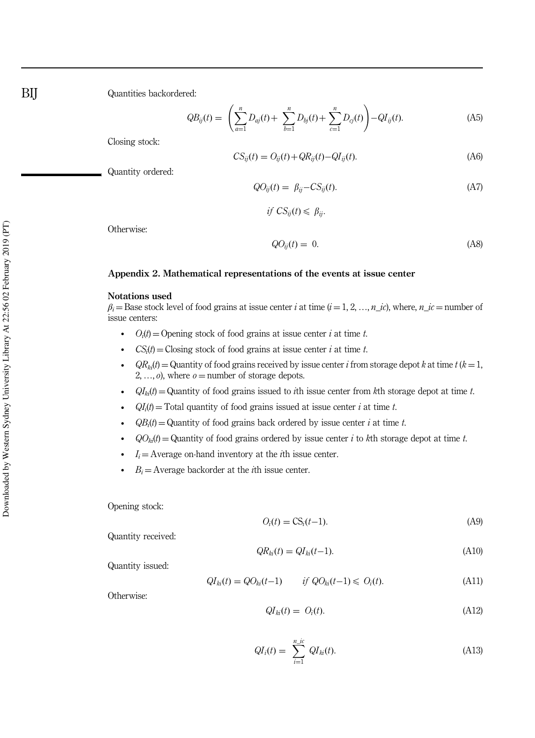Quantities backordered:

$$
QB_{ij}(t) = \left(\sum_{a=1}^{n} D_{aj}(t) + \sum_{b=1}^{n} D_{bj}(t) + \sum_{c=1}^{n} D_{cj}(t)\right) - QI_{ij}(t). \tag{A5}
$$

Closing stock:

$$
CS_{ij}(t) = O_{ij}(t) + QR_{ij}(t) - QI_{ij}(t). \tag{A6}
$$

Quantity ordered:

$$
QO_{ij}(t) = \beta_{ij} - CS_{ij}(t). \tag{A7}
$$

$$
if\; CS_{ij}(t) \leq \; \beta_{ij}.
$$

Otherwise:

$$
QO_{ij}(t) = 0. \tag{A8}
$$

#### Appendix 2. Mathematical representations of the events at issue center

#### Notations used

 $\beta_i =$ Base stock level of food grains at issue center *i* at time  $(i = 1, 2, ..., n$ <sub>*ic*</sub>), where, *n*<sub>*ic*</sub> = number of issue centers:

- $O_i(t) =$  Opening stock of food grains at issue center *i* at time *t*.
- $CS_i(t) = \text{Closing stock of food grains at issue center } i \text{ at time } t.$
- *QR<sub>ki</sub>*(*t*) = Quantity of food grains received by issue center *i* from storage depot *k* at time  $t$  ( $k = 1$ ,  $2, \ldots, o$ , where  $o =$  number of storage depots.
- $QI_k(t) = Q$ uantity of food grains issued to *i*th issue center from *k*th storage depot at time *t*.
- $QI_i(t) = \text{Total quantity of food grains issued at issue center } i \text{ at time } t.$
- $QB_i(t) = \text{Quantity of food grains back ordered by issue center *i* at time *t*.$
- $QO_k(t) =$ Quantity of food grains ordered by issue center *i* to *k*th storage depot at time *t*.
- $I_i =$  Average on-hand inventory at the *i*th issue center.
- $B_i =$  Average backorder at the *i*th issue center.

Opening stock:

$$
O_i(t) = CS_i(t-1). \tag{A9}
$$

Quantity received:

$$
QR_{ki}(t) = QI_{ki}(t-1). \tag{A10}
$$

Quantity issued:

$$
QI_{ki}(t) = QO_{ki}(t-1) \qquad \text{if } QO_{ki}(t-1) \leqslant O_i(t). \tag{A11}
$$

Otherwise:

$$
QI_{ki}(t) = O_i(t). \tag{A12}
$$

$$
QI_i(t) = \sum_{i=1}^{n_{\text{L}} i} QI_{ki}(t). \tag{A13}
$$

BIJ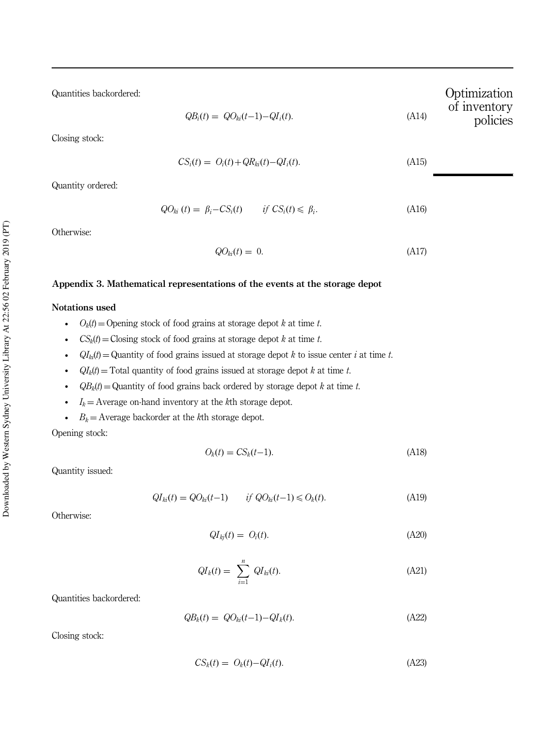Downloaded by Western Sydney University Library At 22:56 02 February 2019 (PT) Downloaded by Western Sydney University Library At 22:56 02 February 2019 (PT) Quantities backordered:

$$
QB_i(t) = QQ_{ki}(t-1) - QI_i(t).
$$
 of inventory policies

Optimization

Closing stock:

$$
CS_i(t) = O_i(t) + QR_{ki}(t) - QI_i(t). \tag{A15}
$$

Quantity ordered:

$$
QO_{ki}(t) = \beta_i - CS_i(t) \qquad \text{if } CS_i(t) \leq \beta_i. \tag{A16}
$$

Otherwise:

$$
QO_{ki}(t) = 0. \tag{A17}
$$

#### Appendix 3. Mathematical representations of the events at the storage depot

#### Notations used

- $O_k(t) = \text{Opening stock of food grains at storage depot } k \text{ at time } t.$
- $CS_k(t) = \text{Closing stock of food grains at storage depot } k \text{ at time } t.$
- $QI_{ki}(t) = Q$ uantity of food grains issued at storage depot *k* to issue center *i* at time *t*.
- $QI_k(t) = \text{Total quantity of food grains issued at storage depot } k \text{ at time } t.$
- $QB_k(t) = \text{Quantity of food grains back ordered by storage depot k at time t.}$
- $I_k = \text{Average on-hand inventory at the } k\text{th storage depot.}$
- $B_k =$  Average backorder at the *k*th storage depot.

Opening stock:

$$
O_k(t) = CS_k(t-1). \tag{A18}
$$

Quantity issued:

$$
QI_{ki}(t) = QO_{ki}(t-1) \qquad if \ QO_{ki}(t-1) \leqslant O_k(t). \tag{A19}
$$

Otherwise:

$$
QI_{kj}(t) = O_i(t). \tag{A20}
$$

$$
QI_k(t) = \sum_{i=1}^n QI_{ki}(t). \tag{A21}
$$

Quantities backordered:

$$
QB_k(t) = QQ_{ki}(t-1) - QI_k(t).
$$
\n(A22)

Closing stock:

$$
CS_k(t) = O_k(t) - QI_i(t). \tag{A23}
$$